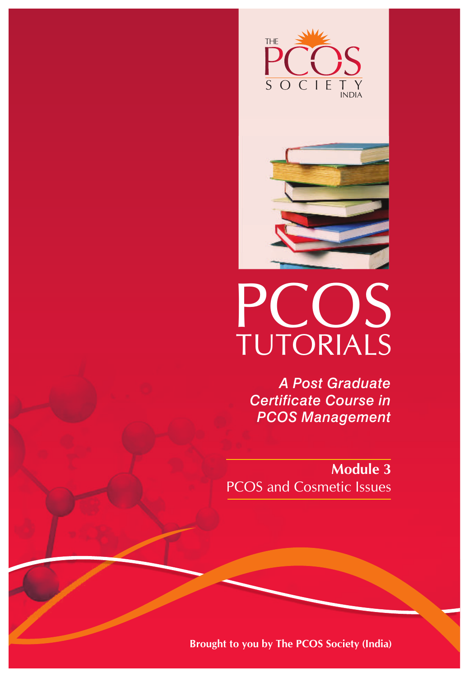



# PCOS TUTORIALS

*A Post Graduate Certificate Course in PCOS Management*

**Module 3** PCOS and Cosmetic Issues

**Brought to you by The PCOS Society (India)**

Z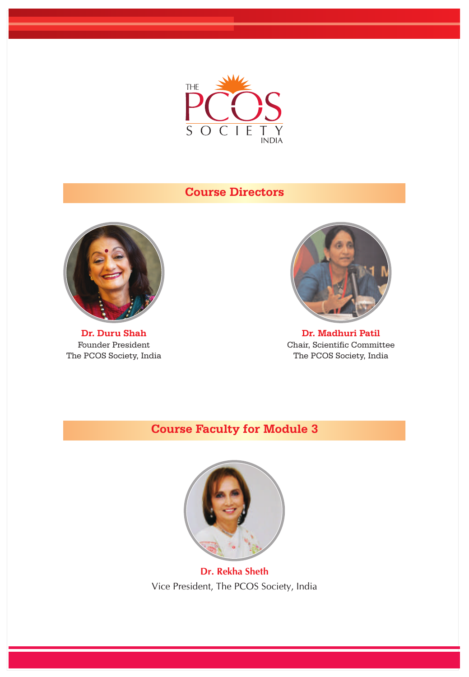

# **Course Directors**



**Dr. Duru Shah** Founder President The PCOS Society, India



**Dr. Madhuri Patil** Chair, Scientific Committee The PCOS Society, India

## **Course Faculty for Module 3**



**Dr. Rekha Sheth**  Vice President, The PCOS Society, India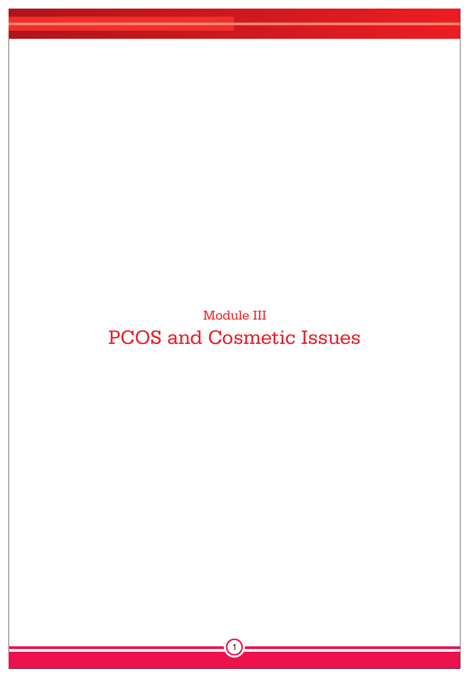Module III PCOS and Cosmetic Issues

 $\left(1\right)$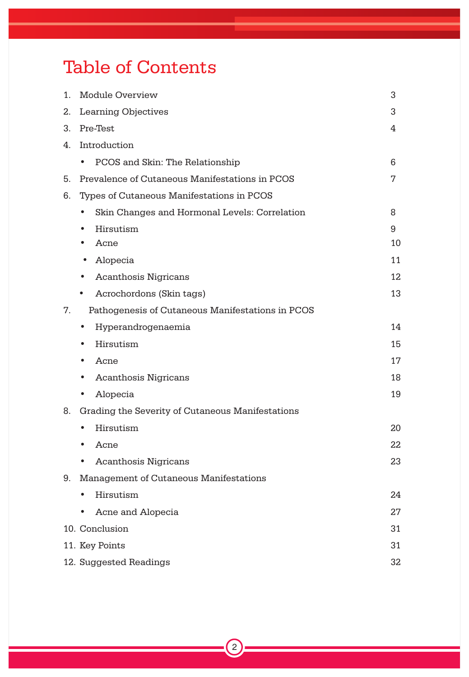# Table of Contents

| 1. | Module Overview<br>3                                |    |  |  |  |  |
|----|-----------------------------------------------------|----|--|--|--|--|
| 2. | <b>Learning Objectives</b><br>3                     |    |  |  |  |  |
| 3. | Pre-Test<br>4                                       |    |  |  |  |  |
| 4. | Introduction                                        |    |  |  |  |  |
|    | PCOS and Skin: The Relationship                     | 6  |  |  |  |  |
| 5. | Prevalence of Cutaneous Manifestations in PCOS<br>7 |    |  |  |  |  |
| 6. | Types of Cutaneous Manifestations in PCOS           |    |  |  |  |  |
|    | Skin Changes and Hormonal Levels: Correlation       | 8  |  |  |  |  |
|    | Hirsutism                                           | 9  |  |  |  |  |
|    | Acne                                                | 10 |  |  |  |  |
|    | Alopecia                                            | 11 |  |  |  |  |
|    | <b>Acanthosis Nigricans</b>                         | 12 |  |  |  |  |
|    | Acrochordons (Skin tags)                            | 13 |  |  |  |  |
| 7. | Pathogenesis of Cutaneous Manifestations in PCOS    |    |  |  |  |  |
|    | Hyperandrogenaemia<br>٠                             | 14 |  |  |  |  |
|    | Hirsutism                                           | 15 |  |  |  |  |
|    | Acne                                                | 17 |  |  |  |  |
|    | <b>Acanthosis Nigricans</b>                         | 18 |  |  |  |  |
|    | Alopecia                                            | 19 |  |  |  |  |
| 8. | Grading the Severity of Cutaneous Manifestations    |    |  |  |  |  |
|    | Hirsutism                                           | 20 |  |  |  |  |
|    | Acne                                                | 22 |  |  |  |  |
|    | <b>Acanthosis Nigricans</b>                         | 23 |  |  |  |  |
| 9. | Management of Cutaneous Manifestations              |    |  |  |  |  |
|    | Hirsutism                                           | 24 |  |  |  |  |
|    | Acne and Alopecia                                   | 27 |  |  |  |  |
|    | 10. Conclusion<br>31                                |    |  |  |  |  |
|    | 11. Key Points<br>31                                |    |  |  |  |  |
|    | 12. Suggested Readings<br>32                        |    |  |  |  |  |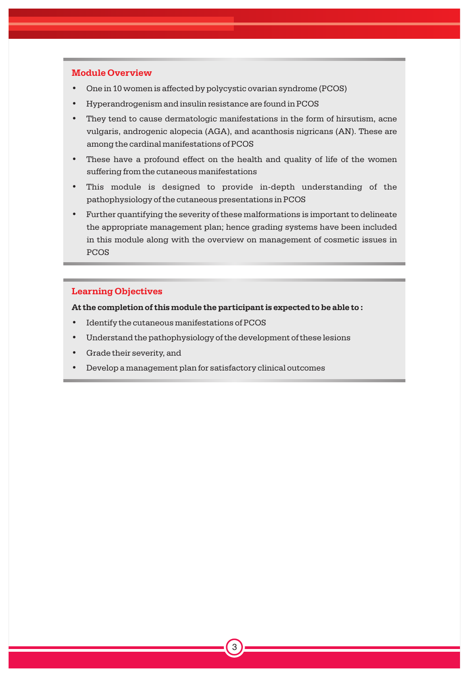### **Module Overview**

- One in 10 women is affected by polycystic ovarian syndrome (PCOS)
- Hyperandrogenism and insulin resistance are found in PCOS •
- They tend to cause dermatologic manifestations in the form of hirsutism, acne vulgaris, androgenic alopecia (AGA), and acanthosis nigricans (AN). These are among the cardinal manifestations of PCOS •
- These have a profound effect on the health and quality of life of the women suffering from the cutaneous manifestations •
- This module is designed to provide in-depth understanding of the pathophysiology of the cutaneous presentations in PCOS •
- Further quantifying the severity of these malformations is important to delineate the appropriate management plan; hence grading systems have been included in this module along with the overview on management of cosmetic issues in PCOS •

3

### **Learning Objectives**

**At the completion of this module the participant is expected to be able to :**

- Identify the cutaneous manifestations of PCOS
- Understand the pathophysiology of the development of these lesions
- Grade their severity, and
- Develop a management plan for satisfactory clinical outcomes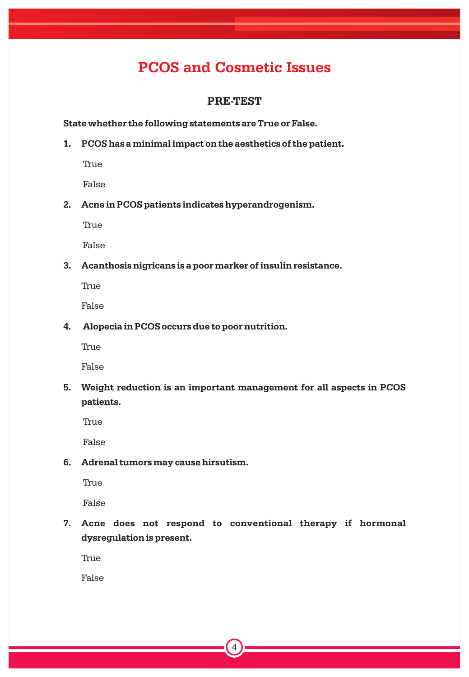# **PCOS and Cosmetic Issues**

### **PRE-TEST**

### **State whether the following statements are True or False.**

**1. PCOS has a minimal impact on the aesthetics of the patient.**

True

False

**2. Acne in PCOS patients indicates hyperandrogenism.**

True

False

**3. Acanthosis nigricans is a poor marker of insulin resistance.**

True

False

**4. Alopecia in PCOS occurs due to poor nutrition.**

True

False

**5. Weight reduction is an important management for all aspects in PCOS patients.**

True

False

**6. Adrenal tumors may cause hirsutism.**

True

False

**7. Acne does not respond to conventional therapy if hormonal dysregulation is present.**

True

False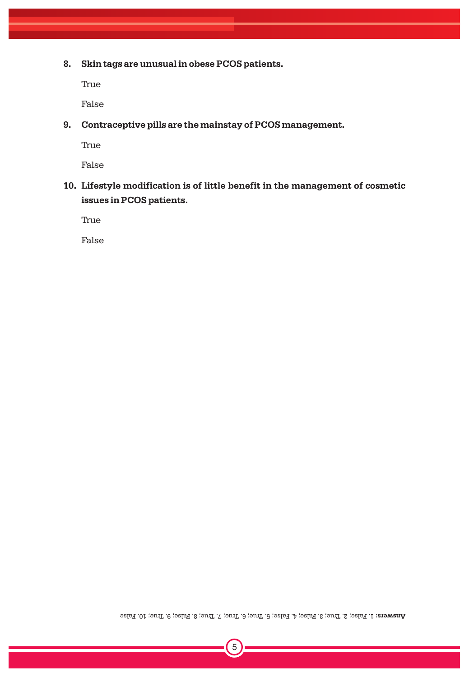**8. Skin tags are unusual in obese PCOS patients.**

True

False

**9. Contraceptive pills are the mainstay of PCOS management.**

True

False

**10. Lifestyle modification is of little benefit in the management of cosmetic issues in PCOS patients.**

True

False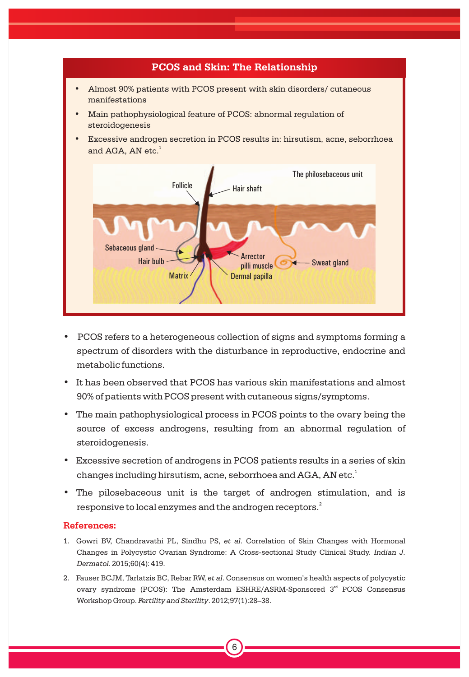

- PCOS refers to a heterogeneous collection of signs and symptoms forming a spectrum of disorders with the disturbance in reproductive, endocrine and metabolic functions.
- It has been observed that PCOS has various skin manifestations and almost 90% of patients with PCOS present with cutaneous signs/symptoms.
- The main pathophysiological process in PCOS points to the ovary being the source of excess androgens, resulting from an abnormal regulation of steroidogenesis.
- Excessive secretion of androgens in PCOS patients results in a series of skin changes including hirsutism, acne, seborrhoea and AGA, AN etc. $^{\rm 1}$
- The pilosebaceous unit is the target of androgen stimulation, and is responsive to local enzymes and the androgen receptors. $\mathring{\cdot}$

- 1. Gowri BV, Chandravathi PL, Sindhu PS, *et al*. Correlation of Skin Changes with Hormonal Changes in Polycystic Ovarian Syndrome: A Cross-sectional Study Clinical Study. *Indian J. Dermatol*. 2015;60(4): 419.
- 2. Fauser BCJM, Tarlatzis BC, Rebar RW, *et al*. Consensus on women's health aspects of polycystic ovary syndrome (PCOS): The Amsterdam ESHRE/ASRM-Sponsored 3<sup>rd</sup> PCOS Consensus Workshop Group. *Fertility and Sterility*. 2012;97(1):28–38.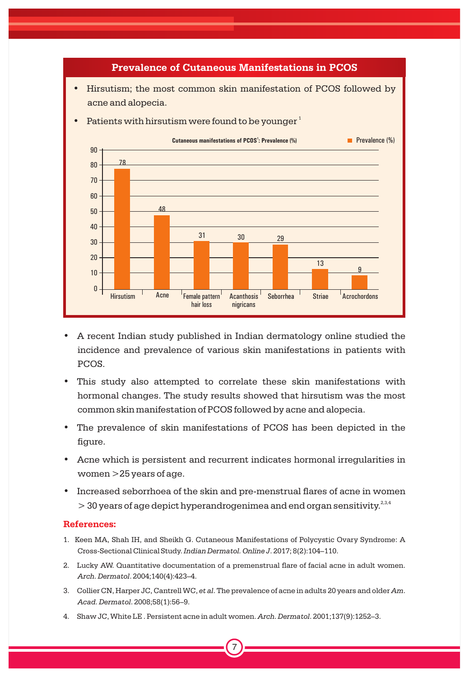

- A recent Indian study published in Indian dermatology online studied the incidence and prevalence of various skin manifestations in patients with PCOS.
- This study also attempted to correlate these skin manifestations with hormonal changes. The study results showed that hirsutism was the most common skin manifestation of PCOS followed by acne and alopecia.
- The prevalence of skin manifestations of PCOS has been depicted in the figure.
- Acne which is persistent and recurrent indicates hormonal irregularities in women >25 years of age.
- Increased seborrhoea of the skin and pre-menstrual flares of acne in women  $>$  30 years of age depict hyperandrogenimea and end organ sensitivity.<sup>2,3,4</sup>

- 1. Keen MA, Shah IH, and Sheikh G. Cutaneous Manifestations of Polycystic Ovary Syndrome: A Cross-Sectional Clinical Study. *Indian Dermatol. Online J*. 2017; 8(2):104–110.
- 2. Lucky AW. Quantitative documentation of a premenstrual flare of facial acne in adult women. *Arch. Dermatol*. 2004;140(4):423–4.
- 3. Collier CN, Harper JC, Cantrell WC, *et al*. The prevalence of acne in adults 20 years and older *Am*. *Acad. Dermatol*. 2008;58(1):56–9.

7

4. Shaw JC, White LE . Persistent acne in adult women. *Arch. Dermatol*. 2001;137(9):1252–3.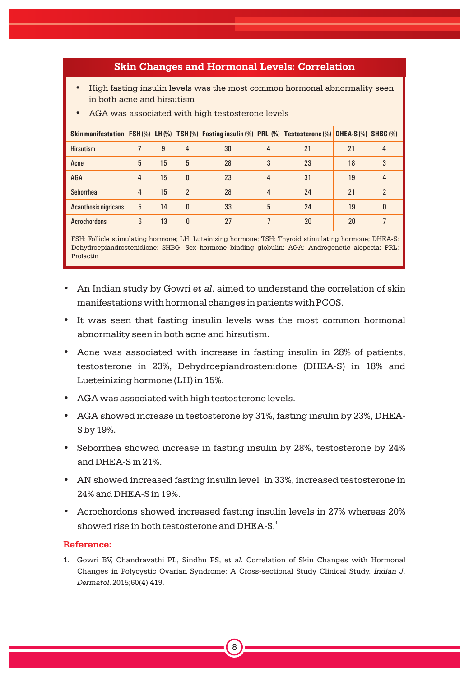### **Skin Changes and Hormonal Levels: Correlation**

• High fasting insulin levels was the most common hormonal abnormality seen in both acne and hirsutism

| Skin manifestation   FSH (%)   LH (%)   TSH (%)   Fasting insulin (%)   PRL (%)   Testosterone (%)   DHEA-S (%)   SHBG (%) |                |    |                |    |                |    |    |              |
|----------------------------------------------------------------------------------------------------------------------------|----------------|----|----------------|----|----------------|----|----|--------------|
| <b>Hirsutism</b>                                                                                                           |                | 9  | 4              | 30 | 4              | 21 | 21 | 4            |
| Acne                                                                                                                       | 5              | 15 | 5              | 28 | 3              | 23 | 18 | 3            |
| AGA                                                                                                                        | $\overline{4}$ | 15 | $\mathbf{0}$   | 23 | $\overline{4}$ | 31 | 19 | 4            |
| <b>Seborrhea</b>                                                                                                           | $\overline{4}$ | 15 | $\mathfrak{p}$ | 28 | $\overline{4}$ | 24 | 21 | 2            |
| <b>Acanthosis nigricans</b>                                                                                                | 5              | 14 | $\Omega$       | 33 | 5              | 24 | 19 | <sup>0</sup> |
| <b>Acrochordons</b>                                                                                                        | 6              | 13 | 0              | 27 |                | 20 | 20 |              |

• AGA was associated with high testosterone levels

FSH: Follicle stimulating hormone; LH: Luteinizing hormone; TSH: Thyroid stimulating hormone; DHEA-S: Dehydroepiandrostenidione; SHBG: Sex hormone binding globulin; AGA: Androgenetic alopecia; PRL: Prolactin

- An Indian study by Gowri *et al*. aimed to understand the correlation of skin manifestations with hormonal changes in patients with PCOS.
- It was seen that fasting insulin levels was the most common hormonal abnormality seen in both acne and hirsutism.
- Acne was associated with increase in fasting insulin in 28% of patients, testosterone in 23%, Dehydroepiandrostenidone (DHEA-S) in 18% and Lueteinizing hormone (LH) in 15%.
- AGA was associated with high testosterone levels.
- AGA showed increase in testosterone by 31%, fasting insulin by 23%, DHEA-S by 19%.
- Seborrhea showed increase in fasting insulin by 28%, testosterone by 24% and DHEA-S in 21%.
- AN showed increased fasting insulin level in 33%, increased testosterone in 24% and DHEA-S in 19%.
- Acrochordons showed increased fasting insulin levels in 27% whereas 20% showed rise in both testosterone and  $\rm{DHEA\text{-}S.}^{1}$

### **Reference:**

1. Gowri BV, Chandravathi PL, Sindhu PS, *et al*. Correlation of Skin Changes with Hormonal Changes in Polycystic Ovarian Syndrome: A Cross-sectional Study Clinical Study. *Indian J. Dermatol*. 2015;60(4):419.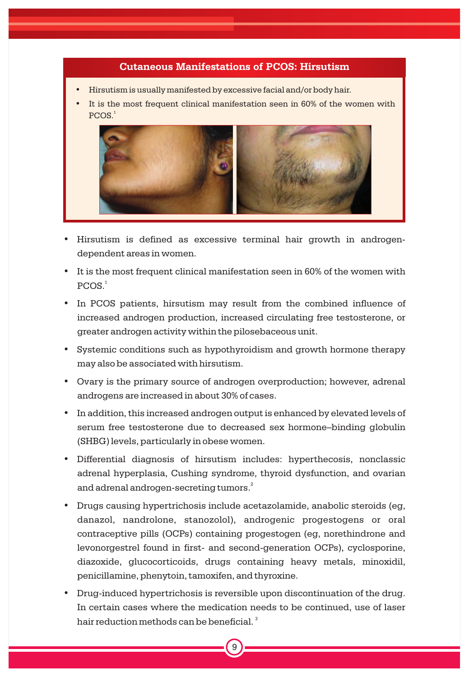### **Cutaneous Manifestations of PCOS: Hirsutism**

- Hirsutism is usually manifested by excessive facial and/or body hair.
- It is the most frequent clinical manifestation seen in 60% of the women with  $PCOS.<sup>1</sup>$



- Hirsutism is defined as excessive terminal hair growth in androgendependent areas in women.
- It is the most frequent clinical manifestation seen in 60% of the women with  $PCOS.<sup>1</sup>$
- In PCOS patients, hirsutism may result from the combined influence of increased androgen production, increased circulating free testosterone, or greater androgen activity within the pilosebaceous unit.
- Systemic conditions such as hypothyroidism and growth hormone therapy may also be associated with hirsutism.
- Ovary is the primary source of androgen overproduction; however, adrenal androgens are increased in about 30% of cases.
- In addition, this increased androgen output is enhanced by elevated levels of serum free testosterone due to decreased sex hormone–binding globulin (SHBG) levels, particularly in obese women.
- Differential diagnosis of hirsutism includes: hyperthecosis, nonclassic adrenal hyperplasia, Cushing syndrome, thyroid dysfunction, and ovarian and adrenal androgen-secreting tumors. $^2$
- Drugs causing hypertrichosis include acetazolamide, anabolic steroids (eg, danazol, nandrolone, stanozolol), androgenic progestogens or oral contraceptive pills (OCPs) containing progestogen (eg, norethindrone and levonorgestrel found in first- and second-generation OCPs), cyclosporine, diazoxide, glucocorticoids, drugs containing heavy metals, minoxidil, penicillamine, phenytoin, tamoxifen, and thyroxine.
- Drug-induced hypertrichosis is reversible upon discontinuation of the drug. In certain cases where the medication needs to be continued, use of laser hair reduction methods can be beneficial.  $^{\rm 3}$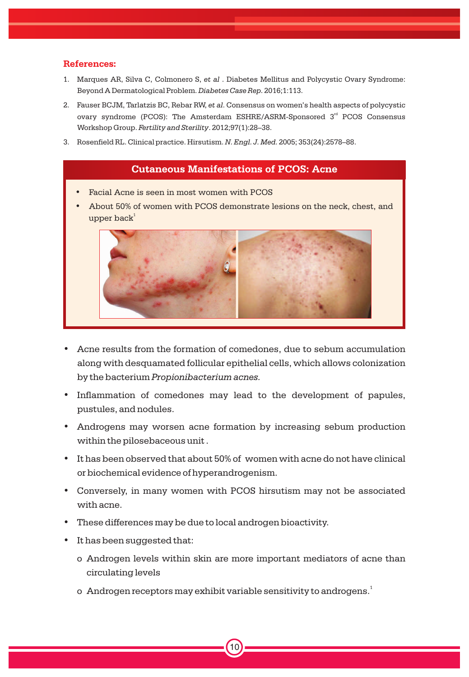- 1. Marques AR, Silva C, Colmonero S, *et al* . Diabetes Mellitus and Polycystic Ovary Syndrome: Beyond A Dermatological Problem.*Diabetes Case Rep.* 2016;1:113.
- 2. Fauser BCJM, Tarlatzis BC, Rebar RW, *et al*. Consensus on women's health aspects of polycystic ovary syndrome (PCOS): The Amsterdam ESHRE/ASRM-Sponsored 3<sup>rd</sup> PCOS Consensus Workshop Group. *Fertility and Sterility*. 2012;97(1):28–38.
- 3. Rosenfield RL. Clinical practice. Hirsutism. *N. Engl. J. Med.* 2005; 353(24):2578–88.

### **Cutaneous Manifestations of PCOS: Acne**

- Facial Acne is seen in most women with PCOS
- About 50% of women with PCOS demonstrate lesions on the neck, chest, and  ${\rm upper\, back}^1$



- Acne results from the formation of comedones, due to sebum accumulation along with desquamated follicular epithelial cells, which allows colonization by the bacterium *Propionibacterium acnes.*
- Inflammation of comedones may lead to the development of papules, pustules, and nodules.
- Androgens may worsen acne formation by increasing sebum production within the pilosebaceous unit .
- It has been observed that about 50% of women with acne do not have clinical or biochemical evidence of hyperandrogenism.
- Conversely, in many women with PCOS hirsutism may not be associated with acne.
- These differences may be due to local androgen bioactivity.
- It has been suggested that:
	- o Androgen levels within skin are more important mediators of acne than circulating levels
	- o  $\,$  Androgen receptors may exhibit variable sensitivity to androgens. $^1$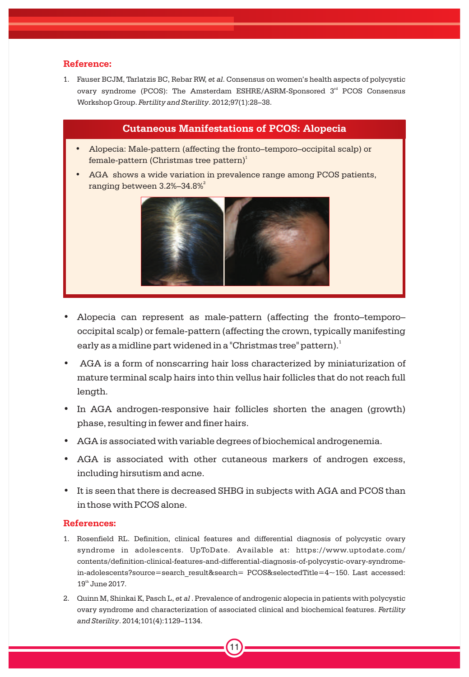1. Fauser BCJM, Tarlatzis BC, Rebar RW, *et al*. Consensus on women's health aspects of polycystic ovary syndrome (PCOS): The Amsterdam ESHRE/ASRM-Sponsored 3<sup>rd</sup> PCOS Consensus Workshop Group. *Fertility and Sterility*. 2012;97(1):28–38.

### **Cutaneous Manifestations of PCOS: Alopecia**

- Alopecia: Male-pattern (affecting the fronto–temporo–occipital scalp) or female-pattern (Christmas tree pattern)<sup>1</sup>
- AGA shows a wide variation in prevalence range among PCOS patients,  $\,$ ranging between 3.2%–34.8% $^{2}$



- Alopecia can represent as male-pattern (affecting the fronto–temporo– occipital scalp) or female-pattern (affecting the crown, typically manifesting early as a midline part widened in a "Christmas tree" pattern). $^{\rm 1}$
- AGA is a form of nonscarring hair loss characterized by miniaturization of mature terminal scalp hairs into thin vellus hair follicles that do not reach full length.
- In AGA androgen-responsive hair follicles shorten the anagen (growth) phase, resulting in fewer and finer hairs.
- AGA is associated with variable degrees of biochemical androgenemia.
- AGA is associated with other cutaneous markers of androgen excess, including hirsutism and acne.
- It is seen that there is decreased SHBG in subjects with AGA and PCOS than in those with PCOS alone.

### **References:**

- 1. Rosenfield RL. Definition, clinical features and differential diagnosis of polycystic ovary syndrome in adolescents. UpToDate. Available at: https://www.uptodate.com/ contents/definition-clinical-features-and-differential-diagnosis-of-polycystic-ovary-syndromein-adolescents?source=search\_result&search= PCOS&selectedTitle=4~150. Last accessed:  $19<sup>th</sup>$  June 2017.
- 2. Quinn M, Shinkai K, Pasch L, *et al* . Prevalence of androgenic alopecia in patients with polycystic ovary syndrome and characterization of associated clinical and biochemical features. *Fertility and Sterility*. 2014;101(4):1129–1134.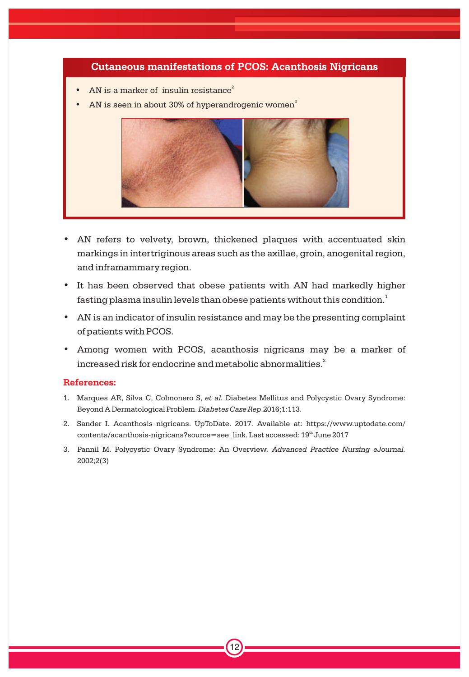### **Cutaneous manifestations of PCOS: Acanthosis Nigricans**

- AN is a marker of insulin resistance<sup>2</sup>
- AN is seen in about 30% of hyperandrogenic women<sup>3</sup>



- AN refers to velvety, brown, thickened plaques with accentuated skin markings in intertriginous areas such as the axillae, groin, anogenital region, and inframammary region.
- It has been observed that obese patients with AN had markedly higher fasting plasma insulin levels than obese patients without this condition. $^{\rm 1}$
- AN is an indicator of insulin resistance and may be the presenting complaint of patients with PCOS.
- Among women with PCOS, acanthosis nigricans may be a marker of increased risk for endocrine and metabolic abnormalities. $\cdot$

### **References:**

- 1. Marques AR, Silva C, Colmonero S, *et al.* Diabetes Mellitus and Polycystic Ovary Syndrome: Beyond A Dermatological Problem. *Diabetes Case Rep*.2016;1:113.
- 2. Sander I. Acanthosis nigricans. UpToDate. 2017. Available at: https://www.uptodate.com/ contents/acanthosis-nigricans?source=see\_link. Last accessed: 19<sup>th</sup> June 2017
- 3. Pannil M. Polycystic Ovary Syndrome: An Overview. *Advanced Practice Nursing eJournal.* 2002;2(3)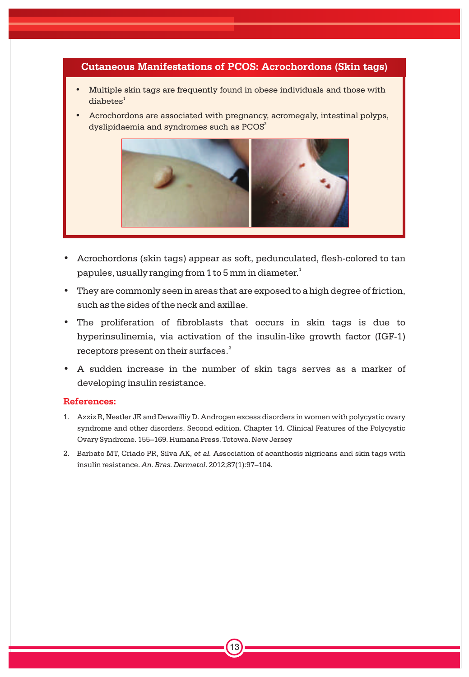### **Cutaneous Manifestations of PCOS: Acrochordons (Skin tags)**

- Multiple skin tags are frequently found in obese individuals and those with  $dia$ betes<sup>1</sup>
- Acrochordons are associated with pregnancy, acromegaly, intestinal polyps, dyslipidaemia and syndromes such as  $\mathrm{PCOS}^2$



- Acrochordons (skin tags) appear as soft, pedunculated, flesh-colored to tan papules, usually ranging from 1 to 5 mm in diameter. $^{\rm 1}$
- They are commonly seen in areas that are exposed to a high degree of friction, such as the sides of the neck and axillae.
- The proliferation of fibroblasts that occurs in skin tags is due to hyperinsulinemia, via activation of the insulin-like growth factor (IGF-1) receptors present on their surfaces. $^{2}$
- A sudden increase in the number of skin tags serves as a marker of developing insulin resistance.

### **References:**

- 1. Azziz R, Nestler JE and Dewailliy D. Androgen excess disorders in women with polycystic ovary syndrome and other disorders. Second edition. Chapter 14. Clinical Features of the Polycystic Ovary Syndrome. 155–169. Humana Press. Totowa. New Jersey
- 2. Barbato MT, Criado PR, Silva AK, *et al.* Association of acanthosis nigricans and skin tags with insulin resistance. *An. Bras. Dermatol*. 2012;87(1):97–104.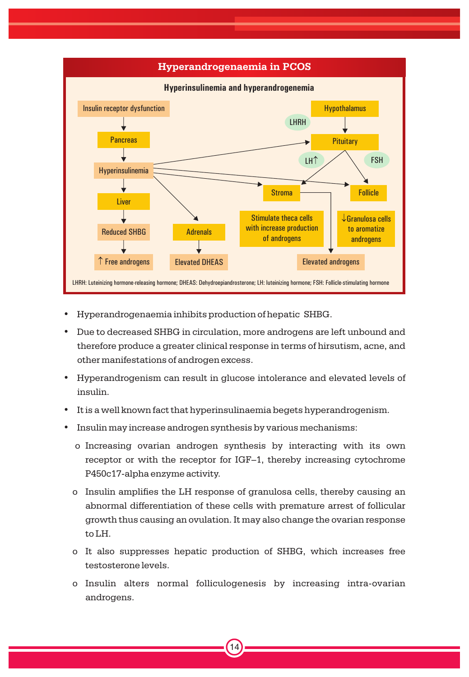

- Hyperandrogenaemia inhibits production of hepatic SHBG.
- Due to decreased SHBG in circulation, more androgens are left unbound and therefore produce a greater clinical response in terms of hirsutism, acne, and other manifestations of androgen excess.
- Hyperandrogenism can result in glucose intolerance and elevated levels of insulin.
- It is a well known fact that hyperinsulinaemia begets hyperandrogenism.
- Insulin may increase androgen synthesis by various mechanisms:
	- o Increasing ovarian androgen synthesis by interacting with its own receptor or with the receptor for IGF–1, thereby increasing cytochrome P450c17-alpha enzyme activity.
	- o Insulin amplifies the LH response of granulosa cells, thereby causing an abnormal differentiation of these cells with premature arrest of follicular growth thus causing an ovulation. It may also change the ovarian response to LH.
	- o It also suppresses hepatic production of SHBG, which increases free testosterone levels.
	- o Insulin alters normal folliculogenesis by increasing intra-ovarian androgens.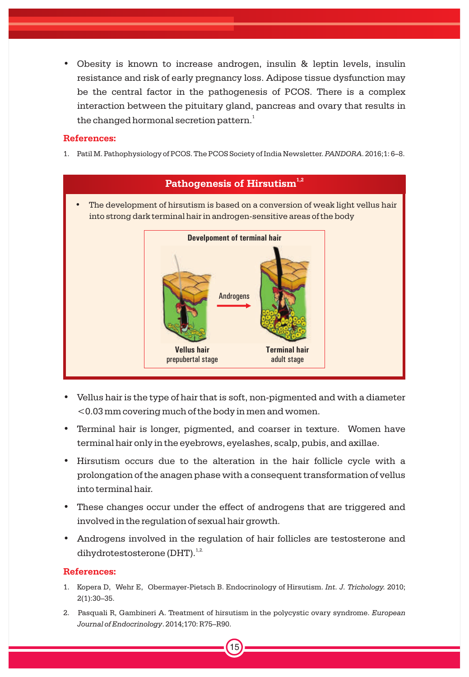• Obesity is known to increase androgen, insulin & leptin levels, insulin resistance and risk of early pregnancy loss. Adipose tissue dysfunction may be the central factor in the pathogenesis of PCOS. There is a complex interaction between the pituitary gland, pancreas and ovary that results in the changed hormonal secretion pattern. $^{\rm 1}$ 

### **References:**

1. Patil M. Pathophysiology of PCOS. The PCOS Society of India Newsletter. *PANDORA*. 2016;1: 6–8.



- Vellus hair is the type of hair that is soft, non-pigmented and with a diameter <0.03 mm covering much of the body in men and women.
- Terminal hair is longer, pigmented, and coarser in texture. Women have terminal hair only in the eyebrows, eyelashes, scalp, pubis, and axillae.
- Hirsutism occurs due to the alteration in the hair follicle cycle with a prolongation of the anagen phase with a consequent transformation of vellus into terminal hair.
- These changes occur under the effect of androgens that are triggered and involved in the regulation of sexual hair growth.
- Androgens involved in the regulation of hair follicles are testosterone and dihydrotestosterone (DHT).<sup>1,2.</sup>

### **References:**

- 1. Kopera D, Wehr E, Obermayer-Pietsch B. Endocrinology of Hirsutism. *Int. J. Trichology.* 2010; 2(1):30–35.
- 2. Pasquali R, Gambineri A. Treatment of hirsutism in the polycystic ovary syndrome. *European Journal of Endocrinology*. 2014;170: R75–R90.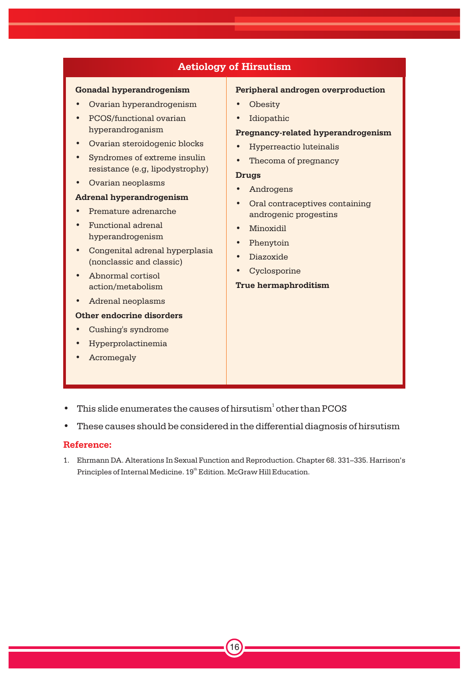### **Aetiology of Hirsutism**

### **Gonadal hyperandrogenism**

- Ovarian hyperandrogenism
- PCOS/functional ovarian hyperandroganism
- Ovarian steroidogenic blocks
- Syndromes of extreme insulin resistance (e.g, lipodystrophy)
- Ovarian neoplasms

### **Adrenal hyperandrogenism**

- Premature adrenarche
- Functional adrenal hyperandrogenism
- Congenital adrenal hyperplasia (nonclassic and classic)
- Abnormal cortisol action/metabolism
- Adrenal neoplasms

### **Other endocrine disorders**

- Cushing's syndrome
- Hyperprolactinemia
- **Acromegaly**

### **Peripheral androgen overproduction**

- **Obesity**
- Idiopathic

### **Pregnancy-related hyperandrogenism**

- Hyperreactio luteinalis
- Thecoma of pregnancy

### **Drugs**

- Androgens
- Oral contraceptives containing androgenic progestins
- Minoxidil
- Phenytoin
- Diazoxide
- Cyclosporine

### **True hermaphroditism**

- $\bullet$  This slide enumerates the causes of hirsutism<sup>1</sup> other than PCOS
- These causes should be considered in the differential diagnosis of hirsutism

### **Reference:**

1. Ehrmann DA. Alterations In Sexual Function and Reproduction. Chapter 68. 331–335. Harrison's Principles of Internal Medicine. 19<sup>th</sup> Edition. McGraw Hill Education.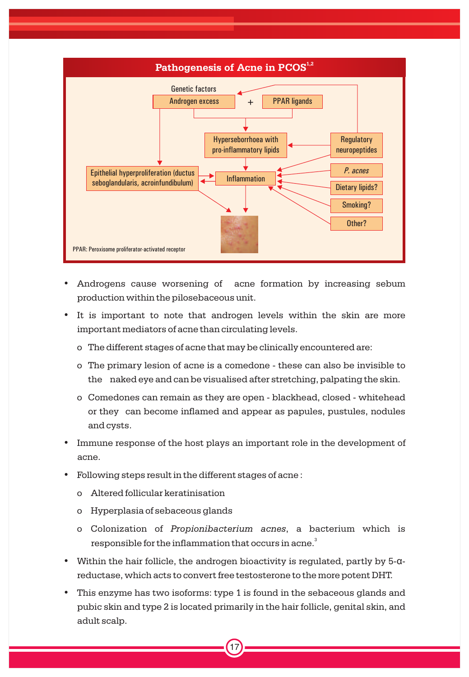

- Androgens cause worsening of acne formation by increasing sebum production within the pilosebaceous unit.
- It is important to note that androgen levels within the skin are more important mediators of acne than circulating levels.
	- o The different stages of acne that may be clinically encountered are:
	- o The primary lesion of acne is a comedone these can also be invisible to the naked eye and can be visualised after stretching, palpating the skin.
	- o Comedones can remain as they are open blackhead, closed whitehead or they can become inflamed and appear as papules, pustules, nodules and cysts.
- Immune response of the host plays an important role in the development of acne.
- Following steps result in the different stages of acne :
	- o Altered follicular keratinisation
	- o Hyperplasia of sebaceous glands
	- o Colonization of *Propionibacterium acnes*, a bacterium which is responsible for the inflammation that occurs in acne. $^{\textrm{\tiny{3}}}$
- Within the hair follicle, the androgen bioactivity is regulated, partly by  $5-\alpha$ reductase, which acts to convert free testosterone to the more potent DHT.
- This enzyme has two isoforms: type 1 is found in the sebaceous glands and pubic skin and type 2 is located primarily in the hair follicle, genital skin, and adult scalp.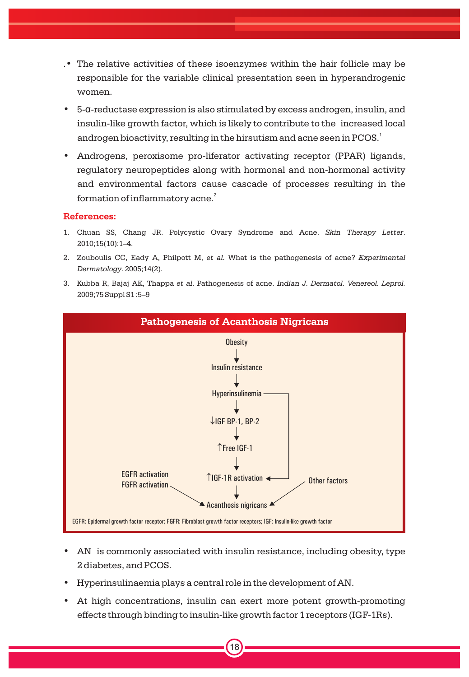- .• The relative activities of these isoenzymes within the hair follicle may be responsible for the variable clinical presentation seen in hyperandrogenic women.
- 5-a-reductase expression is also stimulated by excess androgen, insulin, and insulin-like growth factor, which is likely to contribute to the increased local androgen bioactivity, resulting in the hirsutism and acne seen in PCOS. $^{\rm 1}$
- Androgens, peroxisome pro-liferator activating receptor (PPAR) ligands, regulatory neuropeptides along with hormonal and non-hormonal activity and environmental factors cause cascade of processes resulting in the formation of inflammatory acne. $^{\rm 2}$

- 1. Chuan SS, Chang JR. Polycystic Ovary Syndrome and Acne. *Skin Therapy Letter*. 2010;15(10):1–4.
- 2. Zouboulis CC, Eady A, Philpott M, *et al.* What is the pathogenesis of acne? *Experimental Dermatology*. 2005;14(2).
- 3. Kubba R, Bajaj AK, Thappa *et al*. Pathogenesis of acne. *Indian J. Dermatol. Venereol. Leprol.* 2009;75 Suppl S1 :5–9



- AN is commonly associated with insulin resistance, including obesity, type 2 diabetes, and PCOS.
- Hyperinsulinaemia plays a central role in the development of AN.
- At high concentrations, insulin can exert more potent growth-promoting effects through binding to insulin-like growth factor 1 receptors (IGF-1Rs).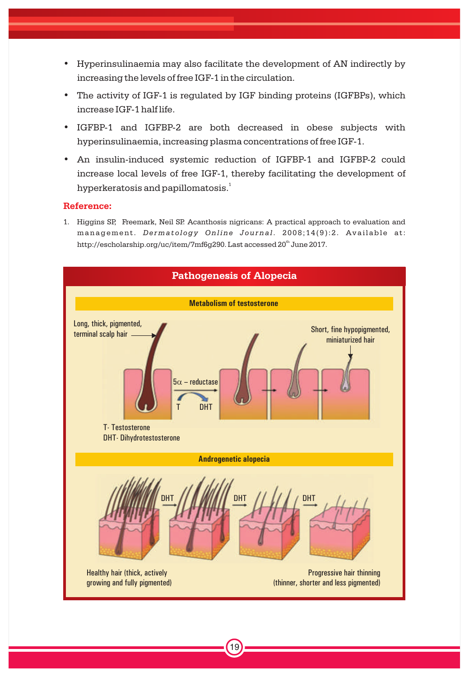- Hyperinsulinaemia may also facilitate the development of AN indirectly by increasing the levels of free IGF-1 in the circulation.
- The activity of IGF-1 is regulated by IGF binding proteins (IGFBPs), which increase IGF-1 half life.
- IGFBP-1 and IGFBP-2 are both decreased in obese subjects with hyperinsulinaemia, increasing plasma concentrations of free IGF-1.
- An insulin-induced systemic reduction of IGFBP-1 and IGFBP-2 could increase local levels of free IGF-1, thereby facilitating the development of hyperkeratosis and papillomatosis. $^{\rm 1}$

1. Higgins SP, Freemark, Neil SP. Acanthosis nigricans: A practical approach to evaluation and management. *De rmat o l ogy Online J ournal* . 2 0 0 8 ; 1 4 ( 9 ): 2 . Availabl e at: http://escholarship.org/uc/item/7mf6q290. Last accessed 20<sup>th</sup> June 2017.

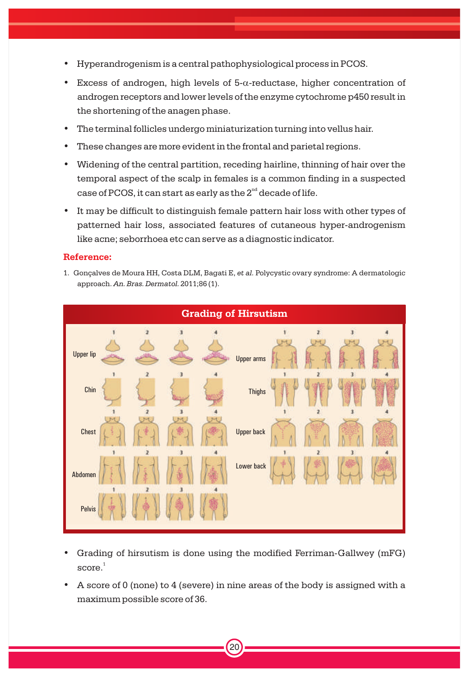- Hyperandrogenism is a central pathophysiological process in PCOS.
- Excess of androgen, high levels of  $5-\alpha$ -reductase, higher concentration of androgen receptors and lower levels of the enzyme cytochrome p450 result in the shortening of the anagen phase.
- The terminal follicles undergo miniaturization turning into vellus hair.
- These changes are more evident in the frontal and parietal regions.
- Widening of the central partition, receding hairline, thinning of hair over the temporal aspect of the scalp in females is a common finding in a suspected case of PCOS, it can start as early as the  $2^{nd}$  decade of life.
- It may be difficult to distinguish female pattern hair loss with other types of patterned hair loss, associated features of cutaneous hyper-androgenism like acne; seborrhoea etc can serve as a diagnostic indicator.

1. Gonçalves de Moura HH, Costa DLM, Bagati E, *et al.* Polycystic ovary syndrome: A dermatologic approach. *An. Bras. Dermatol.* 2011;86 (1).



- Grading of hirsutism is done using the modified Ferriman-Gallwey (mFG)  $\text{score.}^1$
- A score of 0 (none) to 4 (severe) in nine areas of the body is assigned with a maximum possible score of 36.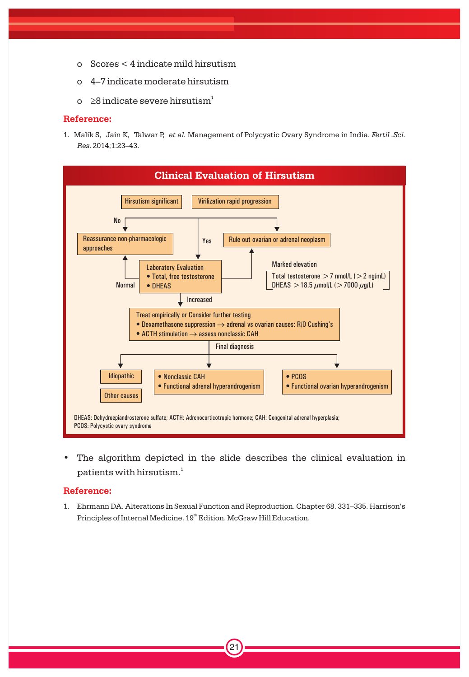- o Scores < 4 indicate mild hirsutism
- o 4–7 indicate moderate hirsutism
- o  $\geq$ 8 indicate severe hirsutism $^1$

1. Malik S, Jain K, Talwar P, *et al.* Management of Polycystic Ovary Syndrome in India. *Fertil .Sci. Res.* 2014;1:23–43.



• The algorithm depicted in the slide describes the clinical evaluation in patients with hirsutism. $^{\rm 1}$ 

### **Reference:**

1. Ehrmann DA. Alterations In Sexual Function and Reproduction. Chapter 68. 331–335. Harrison's Principles of Internal Medicine. 19<sup>th</sup> Edition. McGraw Hill Education.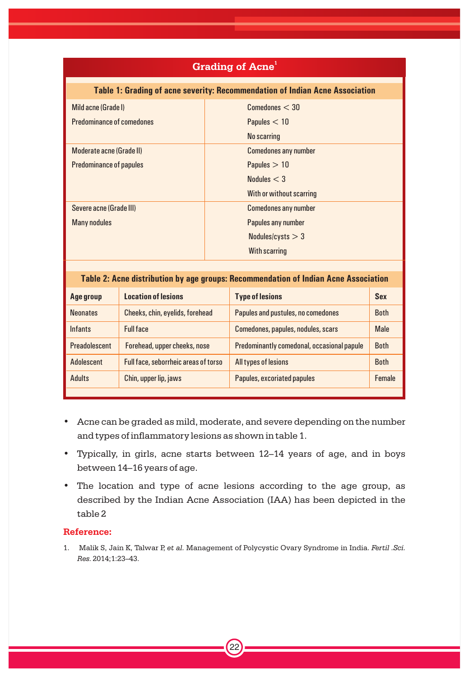### **<sup>1</sup> Grading of Acne**

### **Table 1: Grading of acne severity: Recommendation of Indian Acne Association**

| Mild acne (Grade I)<br><b>Predominance of comedones</b> | Comedones < 30<br>Papules $<$ 10<br>No scarring |
|---------------------------------------------------------|-------------------------------------------------|
| Moderate acne (Grade II)                                | <b>Comedones any number</b>                     |
| <b>Predominance of papules</b>                          | Papules $>10$                                   |
|                                                         | Nodules $<$ 3                                   |
|                                                         | With or without scarring                        |
| Severe acne (Grade III)                                 | <b>Comedones any number</b>                     |
| <b>Many nodules</b>                                     | Papules any number                              |
|                                                         | Nodules/cysts $>$ 3                             |
|                                                         | With scarring                                   |

### **Table 2: Acne distribution by age groups: Recommendation of Indian Acne Association**

| Age group       | <b>Location of lesions</b>           | <b>Type of lesions</b>                     | <b>Sex</b>    |
|-----------------|--------------------------------------|--------------------------------------------|---------------|
| <b>Neonates</b> | Cheeks, chin, eyelids, forehead      | Papules and pustules, no comedones         | <b>Both</b>   |
| <b>Infants</b>  | <b>Full face</b>                     | Comedones, papules, nodules, scars         | <b>Male</b>   |
| Preadolescent   | Forehead, upper cheeks, nose         | Predominantly comedonal, occasional papule | <b>Both</b>   |
| Adolescent      | Full face, seborrheic areas of torso | All types of lesions                       | <b>Both</b>   |
| <b>Adults</b>   | Chin, upper lip, jaws                | Papules, excoriated papules                | <b>Female</b> |
|                 |                                      |                                            |               |

- Acne can be graded as mild, moderate, and severe depending on the number and types of inflammatory lesions as shown in table 1.
- Typically, in girls, acne starts between 12–14 years of age, and in boys between 14–16 years of age.
- The location and type of acne lesions according to the age group, as described by the Indian Acne Association (IAA) has been depicted in the table 2

### **Reference:**

1. Malik S, Jain K, Talwar P, *et al.* Management of Polycystic Ovary Syndrome in India. *Fertil .Sci. Res.* 2014;1:23–43.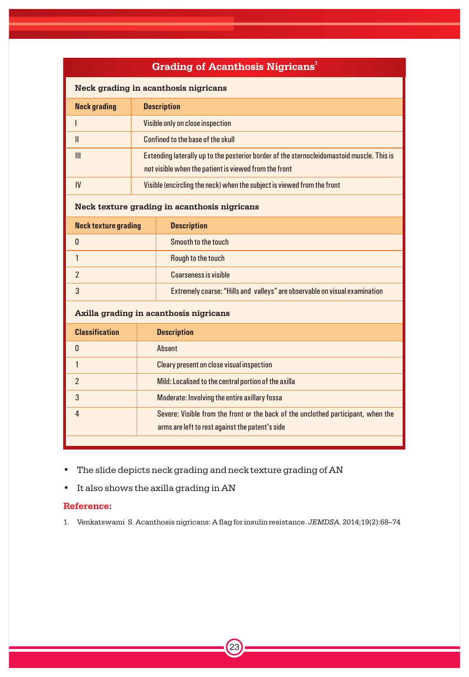| <b>Grading of Acanthosis Nigricans</b> <sup>1</sup> |                                                                         |                                                                                                                                                    |  |  |  |
|-----------------------------------------------------|-------------------------------------------------------------------------|----------------------------------------------------------------------------------------------------------------------------------------------------|--|--|--|
| Neck grading in acanthosis nigricans                |                                                                         |                                                                                                                                                    |  |  |  |
| <b>Neck grading</b>                                 | <b>Description</b>                                                      |                                                                                                                                                    |  |  |  |
| ı                                                   |                                                                         | Visible only on close inspection                                                                                                                   |  |  |  |
| $\mathbf{H}$                                        |                                                                         | Confined to the base of the skull                                                                                                                  |  |  |  |
| III                                                 |                                                                         | Extending laterally up to the posterior border of the sternocleidomastoid muscle. This is<br>not visible when the patient is viewed from the front |  |  |  |
| IV                                                  | Visible (encircling the neck) when the subject is viewed from the front |                                                                                                                                                    |  |  |  |
|                                                     |                                                                         | Neck texture grading in acanthosis nigricans                                                                                                       |  |  |  |
| <b>Neck texture grading</b>                         |                                                                         | <b>Description</b>                                                                                                                                 |  |  |  |
| $\mathbf{0}$                                        |                                                                         | Smooth to the touch                                                                                                                                |  |  |  |
| $\mathbf{1}$                                        |                                                                         | Rough to the touch                                                                                                                                 |  |  |  |
| $\mathfrak{p}$                                      |                                                                         | Coarseness is visible                                                                                                                              |  |  |  |
| 3                                                   |                                                                         | Extremely coarse: "Hills and valleys" are observable on visual examination                                                                         |  |  |  |
|                                                     |                                                                         | Axilla grading in acanthosis nigricans                                                                                                             |  |  |  |
| <b>Classification</b>                               |                                                                         | <b>Description</b>                                                                                                                                 |  |  |  |
| n                                                   |                                                                         | Ahsent                                                                                                                                             |  |  |  |
| $\mathbf{1}$                                        |                                                                         | <b>Cleary present on close visual inspection</b>                                                                                                   |  |  |  |
| $\mathfrak{p}$                                      |                                                                         | Mild: Localised to the central portion of the axilla                                                                                               |  |  |  |
| 3                                                   |                                                                         | Moderate: Involving the entire axillary fossa                                                                                                      |  |  |  |
| 4                                                   |                                                                         | Severe: Visible from the front or the back of the unclothed participant, when the<br>arms are left to rest against the patent's side               |  |  |  |
|                                                     |                                                                         |                                                                                                                                                    |  |  |  |

• The slide depicts neck grading and neck texture grading of AN

• It also shows the axilla grading in AN

### **Reference:**

1. Venkatswami S. Acanthosis nigricans: A flag for insulin resistance. *JEMDSA.* 2014;19(2):68–74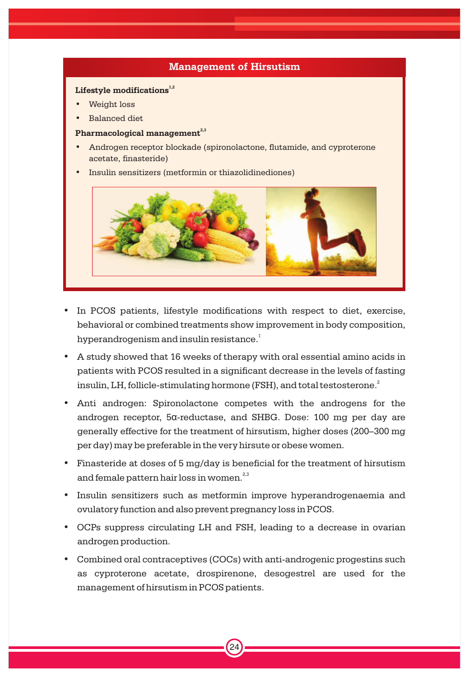### **Management of Hirsutism**

### Lifestyle modifications<sup>1,2</sup>

- Weight loss
- Balanced diet

### **2,3 Pharmacological management**

- Androgen receptor blockade (spironolactone, flutamide, and cyproterone acetate, finasteride)
- Insulin sensitizers (metformin or thiazolidinediones)



- In PCOS patients, lifestyle modifications with respect to diet, exercise, behavioral or combined treatments show improvement in body composition, hyperandrogenism and insulin resistance. $^{\rm 1}$
- A study showed that 16 weeks of therapy with oral essential amino acids in patients with PCOS resulted in a significant decrease in the levels of fasting insulin, LH, follicle-stimulating hormone (FSH), and total testosterone. $^{\rm 2}$
- Anti androgen: Spironolactone competes with the androgens for the androgen receptor, 5a-reductase, and SHBG. Dose: 100 mg per day are generally effective for the treatment of hirsutism, higher doses (200–300 mg per day) may be preferable in the very hirsute or obese women.
- Finasteride at doses of 5 mg/day is beneficial for the treatment of hirsutism and female pattern hair loss in women.<sup>2,3</sup>
- Insulin sensitizers such as metformin improve hyperandrogenaemia and ovulatory function and also prevent pregnancy loss in PCOS.
- OCPs suppress circulating LH and FSH, leading to a decrease in ovarian androgen production.
- Combined oral contraceptives (COCs) with anti-androgenic progestins such as cyproterone acetate, drospirenone, desogestrel are used for the management of hirsutism in PCOS patients.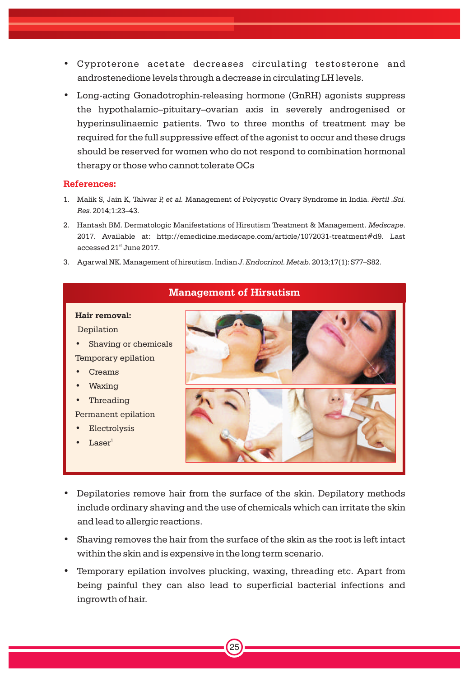- Cyproterone acetate decreases circulating testosterone and androstenedione levels through a decrease in circulating LH levels.
- Long-acting Gonadotrophin-releasing hormone (GnRH) agonists suppress the hypothalamic–pituitary–ovarian axis in severely androgenised or hyperinsulinaemic patients. Two to three months of treatment may be required for the full suppressive effect of the agonist to occur and these drugs should be reserved for women who do not respond to combination hormonal therapy or those who cannot tolerate OCs

- 1. Malik S, Jain K, Talwar P, *et al.* Management of Polycystic Ovary Syndrome in India. *Fertil .Sci. Res.* 2014;1:23–43.
- 2. Hantash BM. Dermatologic Manifestations of Hirsutism Treatment & Management. *Medscape*. 2017. Available at: http://emedicine.medscape.com/article/1072031-treatment#d9. Last accessed 21<sup>st</sup> June 2017.
- 3. Agarwal NK. Management of hirsutism. Indian *J. Endocrinol. Metab.* 2013;17(1): S77–S82.

# • Shaving or chemicals

**Management of Hirsutism**

• Creams • Waxing

**Hair removal:** Depilation

• Threading

Permanent epilation

Temporary epilation

- **Electrolysis**
- Laser<sup>1</sup>
- Depilatories remove hair from the surface of the skin. Depilatory methods include ordinary shaving and the use of chemicals which can irritate the skin and lead to allergic reactions.
- Shaving removes the hair from the surface of the skin as the root is left intact within the skin and is expensive in the long term scenario.
- Temporary epilation involves plucking, waxing, threading etc. Apart from being painful they can also lead to superficial bacterial infections and ingrowth of hair.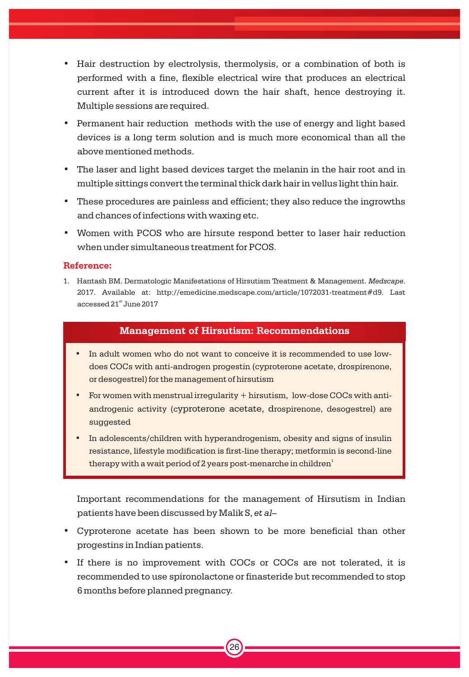- Hair destruction by electrolysis, thermolysis, or a combination of both is performed with a fine, flexible electrical wire that produces an electrical current after it is introduced down the hair shaft, hence destroying it. Multiple sessions are required.
- Permanent hair reduction methods with the use of energy and light based devices is a long term solution and is much more economical than all the above mentioned methods.
- The laser and light based devices target the melanin in the hair root and in multiple sittings convert the terminal thick dark hair in vellus light thin hair.
- These procedures are painless and efficient; they also reduce the ingrowths and chances of infections with waxing etc.
- Women with PCOS who are hirsute respond better to laser hair reduction when under simultaneous treatment for PCOS.

1. Hantash BM. Dermatologic Manifestations of Hirsutism Treatment & Management. *Medscape*. 2017. Available at: http://emedicine.medscape.com/article/1072031-treatment#d9. Last accessed 21<sup>st</sup> June 2017

### **Management of Hirsutism: Recommendations**

- In adult women who do not want to conceive it is recommended to use lowdoes COCs with anti-androgen progestin (cyproterone acetate, drospirenone, or desogestrel) for the management of hirsutism
- For women with menstrual irregularity + hirsutism, low-dose COCs with antiandrogenic activity (cyproterone acetate, drospirenone, desogestrel) are suggested
- In adolescents/children with hyperandrogenism, obesity and signs of insulin resistance, lifestyle modification is first-line therapy; metformin is second-line therapy with a wait period of 2 years post-menarche in children $^{\rm i}$

Important recommendations for the management of Hirsutism in Indian patients have been discussed by Malik S, *et al–*

- Cyproterone acetate has been shown to be more beneficial than other progestins in Indian patients.
- If there is no improvement with COCs or COCs are not tolerated, it is recommended to use spironolactone or finasteride but recommended to stop 6 months before planned pregnancy.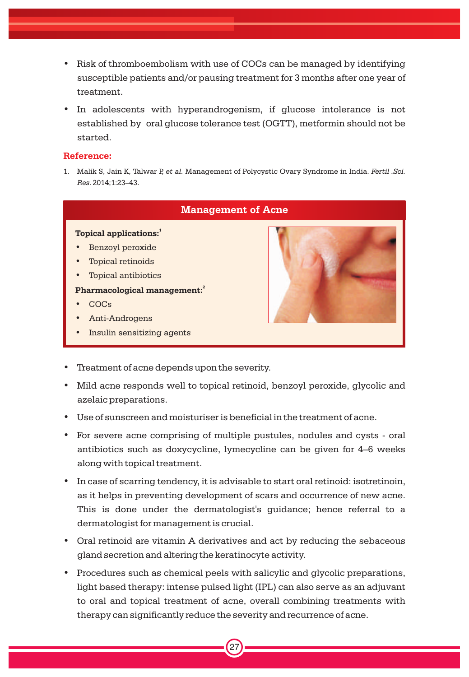- Risk of thromboembolism with use of COCs can be managed by identifying susceptible patients and/or pausing treatment for 3 months after one year of treatment.
- In adolescents with hyperandrogenism, if glucose intolerance is not established by oral glucose tolerance test (OGTT), metformin should not be started.

1. Malik S, Jain K, Talwar P, *et al.* Management of Polycystic Ovary Syndrome in India. *Fertil .Sci. Res.* 2014;1:23–43.



- Treatment of acne depends upon the severity.
- Mild acne responds well to topical retinoid, benzoyl peroxide, glycolic and azelaic preparations.
- Use of sunscreen and moisturiser is beneficial in the treatment of acne.
- For severe acne comprising of multiple pustules, nodules and cysts oral antibiotics such as doxycycline, lymecycline can be given for 4–6 weeks along with topical treatment.
- In case of scarring tendency, it is advisable to start oral retinoid: isotretinoin, as it helps in preventing development of scars and occurrence of new acne. This is done under the dermatologist's guidance; hence referral to a dermatologist for management is crucial.
- Oral retinoid are vitamin A derivatives and act by reducing the sebaceous gland secretion and altering the keratinocyte activity.
- Procedures such as chemical peels with salicylic and glycolic preparations, light based therapy: intense pulsed light (IPL) can also serve as an adjuvant to oral and topical treatment of acne, overall combining treatments with therapy can significantly reduce the severity and recurrence of acne.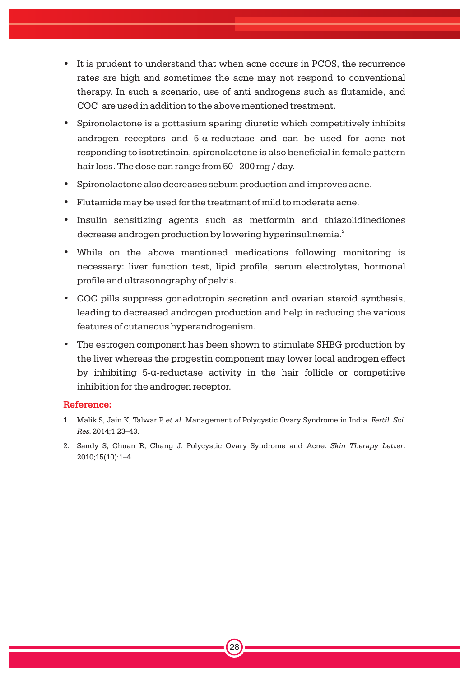- It is prudent to understand that when acne occurs in PCOS, the recurrence rates are high and sometimes the acne may not respond to conventional therapy. In such a scenario, use of anti androgens such as flutamide, and COC are used in addition to the above mentioned treatment.
- Spironolactone is a pottasium sparing diuretic which competitively inhibits androgen receptors and  $5-\alpha$ -reductase and can be used for acne not responding to isotretinoin, spironolactone is also beneficial in female pattern hair loss. The dose can range from 50– 200 mg / day.
- Spironolactone also decreases sebum production and improves acne.
- Flutamide may be used for the treatment of mild to moderate acne.
- Insulin sensitizing agents such as metformin and thiazolidinediones decrease androgen production by lowering hyperinsulinemia. $\hat{\cdot}$
- While on the above mentioned medications following monitoring is necessary: liver function test, lipid profile, serum electrolytes, hormonal profile and ultrasonography of pelvis.
- COC pills suppress gonadotropin secretion and ovarian steroid synthesis, leading to decreased androgen production and help in reducing the various features of cutaneous hyperandrogenism.
- The estrogen component has been shown to stimulate SHBG production by the liver whereas the progestin component may lower local androgen effect by inhibiting 5-a-reductase activity in the hair follicle or competitive inhibition for the androgen receptor.

- 1. Malik S, Jain K, Talwar P, *et al.* Management of Polycystic Ovary Syndrome in India. *Fertil .Sci. Res.* 2014;1:23–43.
- 2. Sandy S, Chuan R, Chang J. Polycystic Ovary Syndrome and Acne. *Skin Therapy Letter*. 2010;15(10):1–4.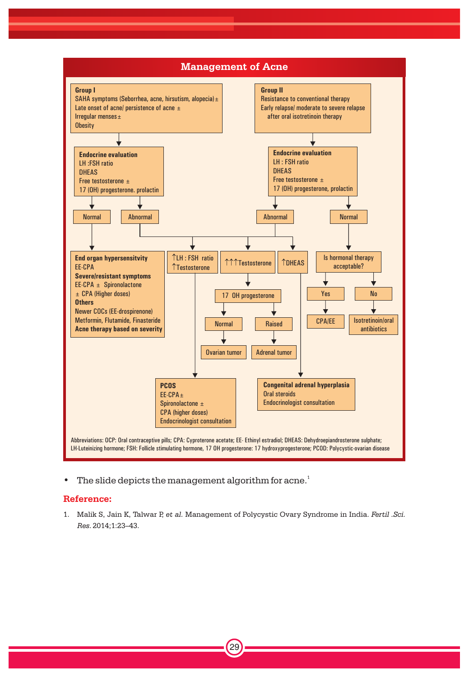

• The slide depicts the management algorithm for acne.<sup>1</sup>

### **Reference:**

1. Malik S, Jain K, Talwar P, *et al.* Management of Polycystic Ovary Syndrome in India. *Fertil .Sci. Res.* 2014;1:23–43.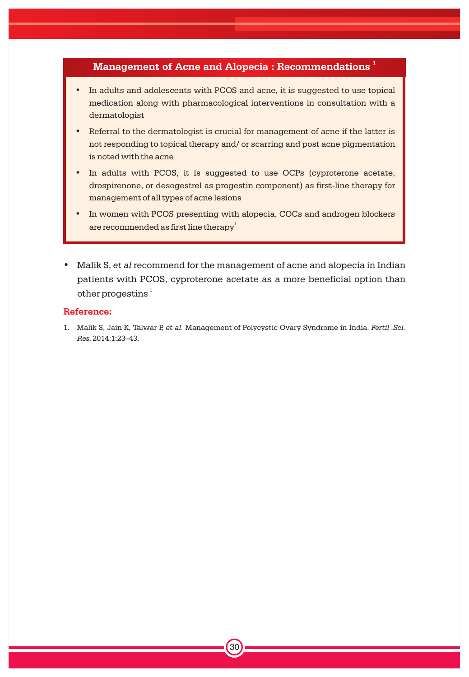### **<sup>1</sup> Management of Acne and Alopecia : Recommendations**

- In adults and adolescents with PCOS and acne, it is suggested to use topical medication along with pharmacological interventions in consultation with a dermatologist
- Referral to the dermatologist is crucial for management of acne if the latter is not responding to topical therapy and/ or scarring and post acne pigmentation is noted with the acne
- In adults with PCOS, it is suggested to use OCPs (cyproterone acetate, drospirenone, or desogestrel as progestin component) as first-line therapy for management of all types of acne lesions
- In women with PCOS presenting with alopecia, COCs and androgen blockers are recommended as first line therapy<sup>1</sup>
- Malik S, *et al* recommend for the management of acne and alopecia in Indian patients with PCOS, cyproterone acetate as a more beneficial option than other progestins  $^{\rm 1}$

### **Reference:**

1. Malik S, Jain K, Talwar P, *et al.* Management of Polycystic Ovary Syndrome in India. *Fertil .Sci. Res.* 2014;1:23–43.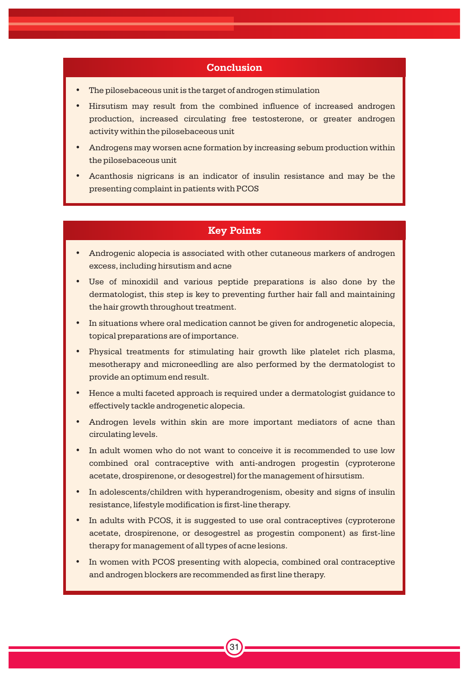### **Conclusion**

- The pilosebaceous unit is the target of androgen stimulation
- Hirsutism may result from the combined influence of increased androgen production, increased circulating free testosterone, or greater androgen activity within the pilosebaceous unit
- Androgens may worsen acne formation by increasing sebum production within the pilosebaceous unit
- Acanthosis nigricans is an indicator of insulin resistance and may be the presenting complaint in patients with PCOS

### **Key Points**

- Androgenic alopecia is associated with other cutaneous markers of androgen excess, including hirsutism and acne
- Use of minoxidil and various peptide preparations is also done by the dermatologist, this step is key to preventing further hair fall and maintaining the hair growth throughout treatment.
- In situations where oral medication cannot be given for androgenetic alopecia, topical preparations are of importance.
- Physical treatments for stimulating hair growth like platelet rich plasma, mesotherapy and microneedling are also performed by the dermatologist to provide an optimum end result.
- Hence a multi faceted approach is required under a dermatologist guidance to effectively tackle androgenetic alopecia.
- Androgen levels within skin are more important mediators of acne than circulating levels.
- In adult women who do not want to conceive it is recommended to use low combined oral contraceptive with anti-androgen progestin (cyproterone acetate, drospirenone, or desogestrel) for the management of hirsutism.
- In adolescents/children with hyperandrogenism, obesity and signs of insulin resistance, lifestyle modification is first-line therapy.
- In adults with PCOS, it is suggested to use oral contraceptives (cyproterone acetate, drospirenone, or desogestrel as progestin component) as first-line therapy for management of all types of acne lesions.
- In women with PCOS presenting with alopecia, combined oral contraceptive and androgen blockers are recommended as first line therapy.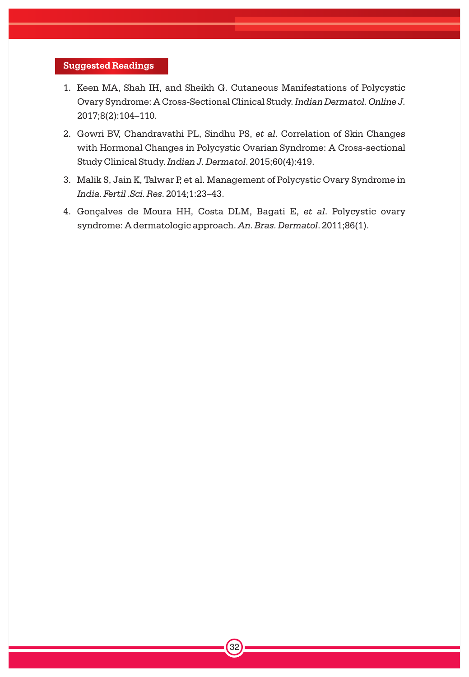### **Suggested Readings**

- 1. Keen MA, Shah IH, and Sheikh G. Cutaneous Manifestations of Polycystic Ovary Syndrome: A Cross-Sectional Clinical Study. *Indian Dermatol. Online J.* 2017;8(2):104–110.
- 2. Gowri BV, Chandravathi PL, Sindhu PS, *et al*. Correlation of Skin Changes with Hormonal Changes in Polycystic Ovarian Syndrome: A Cross-sectional Study Clinical Study.*Indian J. Dermatol*. 2015;60(4):419.
- 3. Malik S, Jain K, Talwar P, et al. Management of Polycystic Ovary Syndrome in *India. Fertil .Sci. Res*. 2014;1:23–43.
- 4. Gonçalves de Moura HH, Costa DLM, Bagati E, *et al*. Polycystic ovary syndrome: A dermatologic approach. *An. Bras. Dermatol*. 2011;86(1).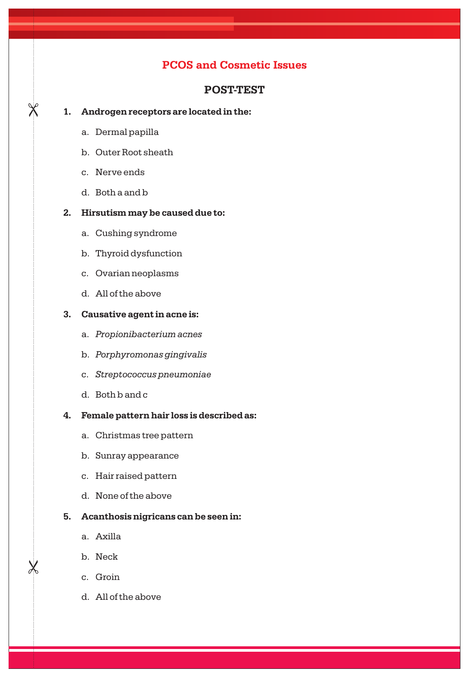### **PCOS and Cosmetic Issues**

### **POST-TEST**

### **1. Androgen receptors are located in the:**

a. Dermal papilla

 $\chi$ 

- b. Outer Root sheath
- c. Nerve ends
- d. Both a and b

### **2. Hirsutism may be caused due to:**

- a. Cushing syndrome
- b. Thyroid dysfunction
- c. Ovarian neoplasms
- d. All of the above

### **3. Causative agent in acne is:**

- a. *Propionibacterium acnes*
- b. *Porphyromonas gingivalis*
- c. *Streptococcus pneumoniae*
- d. Both b and c
- **4. Female pattern hair loss is described as:**
	- a. Christmas tree pattern
	- b. Sunray appearance
	- c. Hair raised pattern
	- d. None of the above

### **5. Acanthosis nigricans can be seen in:**

- a. Axilla
- b. Neck

 $\lambda$ 

- c. Groin
- d. All of the above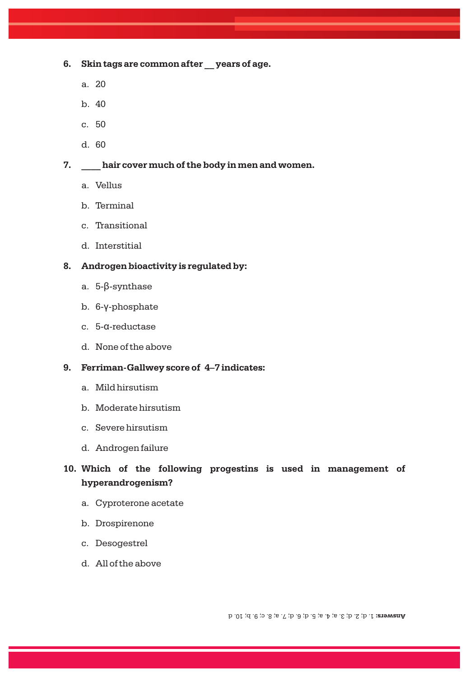- **6. Skin tags are common after \_\_ years of age.**
	- a. 20
	- $h$  40
	- c. 50
	- d. 60

### **7. \_\_\_\_ hair cover much of the body in men and women.**

- a. Vellus
- b. Terminal
- c. Transitional
- d. Interstitial

### **8. Androgen bioactivity is regulated by:**

- a. 5-ß-synthase
- b. 6-y-phosphate
- c. 5-a-reductase
- d. None of the above

### **9. Ferriman-Gallwey score of 4–7 indicates:**

- a. Mild hirsutism
- b. Moderate hirsutism
- c. Severe hirsutism
- d. Androgen failure

### **10. Which of the following progestins is used in management of hyperandrogenism?**

- a. Cyproterone acetate
- b. Drospirenone
- c. Desogestrel
- d. All of the above